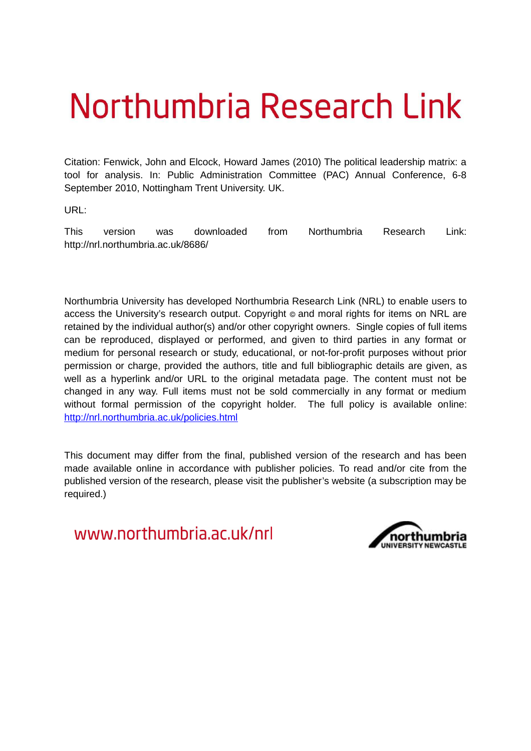# Northumbria Research Link

Citation: Fenwick, John and Elcock, Howard James (2010) The political leadership matrix: a tool for analysis. In: Public Administration Committee (PAC) Annual Conference, 6-8 September 2010, Nottingham Trent University. UK.

URL:

This version was downloaded from Northumbria Research Link: http://nrl.northumbria.ac.uk/8686/

Northumbria University has developed Northumbria Research Link (NRL) to enable users to access the University's research output. Copyright  $\circ$  and moral rights for items on NRL are retained by the individual author(s) and/or other copyright owners. Single copies of full items can be reproduced, displayed or performed, and given to third parties in any format or medium for personal research or study, educational, or not-for-profit purposes without prior permission or charge, provided the authors, title and full bibliographic details are given, as well as a hyperlink and/or URL to the original metadata page. The content must not be changed in any way. Full items must not be sold commercially in any format or medium without formal permission of the copyright holder. The full policy is available online: <http://nrl.northumbria.ac.uk/policies.html>

This document may differ from the final, published version of the research and has been made available online in accordance with publisher policies. To read and/or cite from the published version of the research, please visit the publisher's website (a subscription may be required.)

www.northumbria.ac.uk/nrl

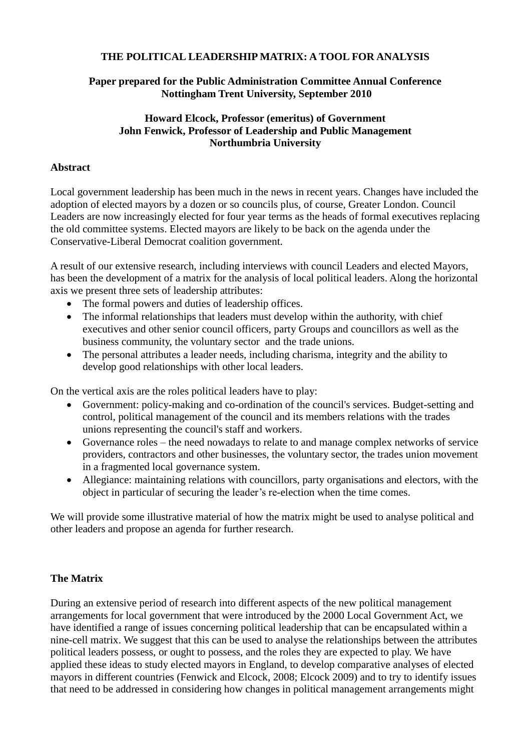#### **THE POLITICAL LEADERSHIP MATRIX: A TOOL FOR ANALYSIS**

#### **Paper prepared for the Public Administration Committee Annual Conference Nottingham Trent University, September 2010**

#### **Howard Elcock, Professor (emeritus) of Government John Fenwick, Professor of Leadership and Public Management Northumbria University**

#### **Abstract**

Local government leadership has been much in the news in recent years. Changes have included the adoption of elected mayors by a dozen or so councils plus, of course, Greater London. Council Leaders are now increasingly elected for four year terms as the heads of formal executives replacing the old committee systems. Elected mayors are likely to be back on the agenda under the Conservative-Liberal Democrat coalition government.

A result of our extensive research, including interviews with council Leaders and elected Mayors, has been the development of a matrix for the analysis of local political leaders. Along the horizontal axis we present three sets of leadership attributes:

- The formal powers and duties of leadership offices.
- The informal relationships that leaders must develop within the authority, with chief executives and other senior council officers, party Groups and councillors as well as the business community, the voluntary sector and the trade unions.
- The personal attributes a leader needs, including charisma, integrity and the ability to develop good relationships with other local leaders.

On the vertical axis are the roles political leaders have to play:

- Government: policy-making and co-ordination of the council's services. Budget-setting and control, political management of the council and its members relations with the trades unions representing the council's staff and workers.
- Governance roles the need nowadays to relate to and manage complex networks of service providers, contractors and other businesses, the voluntary sector, the trades union movement in a fragmented local governance system.
- Allegiance: maintaining relations with councillors, party organisations and electors, with the object in particular of securing the leader's re-election when the time comes.

We will provide some illustrative material of how the matrix might be used to analyse political and other leaders and propose an agenda for further research.

## **The Matrix**

During an extensive period of research into different aspects of the new political management arrangements for local government that were introduced by the 2000 Local Government Act, we have identified a range of issues concerning political leadership that can be encapsulated within a nine-cell matrix. We suggest that this can be used to analyse the relationships between the attributes political leaders possess, or ought to possess, and the roles they are expected to play. We have applied these ideas to study elected mayors in England, to develop comparative analyses of elected mayors in different countries (Fenwick and Elcock, 2008; Elcock 2009) and to try to identify issues that need to be addressed in considering how changes in political management arrangements might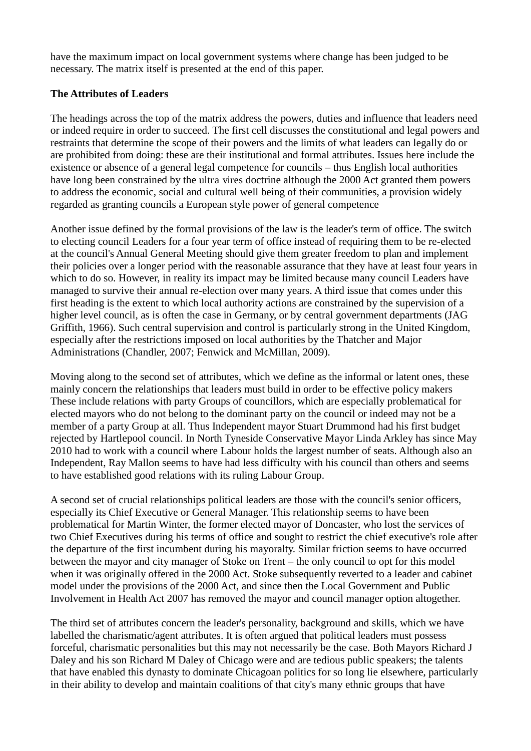have the maximum impact on local government systems where change has been judged to be necessary. The matrix itself is presented at the end of this paper.

#### **The Attributes of Leaders**

The headings across the top of the matrix address the powers, duties and influence that leaders need or indeed require in order to succeed. The first cell discusses the constitutional and legal powers and restraints that determine the scope of their powers and the limits of what leaders can legally do or are prohibited from doing: these are their institutional and formal attributes. Issues here include the existence or absence of a general legal competence for councils – thus English local authorities have long been constrained by the ultra vires doctrine although the 2000 Act granted them powers to address the economic, social and cultural well being of their communities, a provision widely regarded as granting councils a European style power of general competence

Another issue defined by the formal provisions of the law is the leader's term of office. The switch to electing council Leaders for a four year term of office instead of requiring them to be re-elected at the council's Annual General Meeting should give them greater freedom to plan and implement their policies over a longer period with the reasonable assurance that they have at least four years in which to do so. However, in reality its impact may be limited because many council Leaders have managed to survive their annual re-election over many years. A third issue that comes under this first heading is the extent to which local authority actions are constrained by the supervision of a higher level council, as is often the case in Germany, or by central government departments (JAG Griffith, 1966). Such central supervision and control is particularly strong in the United Kingdom, especially after the restrictions imposed on local authorities by the Thatcher and Major Administrations (Chandler, 2007; Fenwick and McMillan, 2009).

Moving along to the second set of attributes, which we define as the informal or latent ones, these mainly concern the relationships that leaders must build in order to be effective policy makers These include relations with party Groups of councillors, which are especially problematical for elected mayors who do not belong to the dominant party on the council or indeed may not be a member of a party Group at all. Thus Independent mayor Stuart Drummond had his first budget rejected by Hartlepool council. In North Tyneside Conservative Mayor Linda Arkley has since May 2010 had to work with a council where Labour holds the largest number of seats. Although also an Independent, Ray Mallon seems to have had less difficulty with his council than others and seems to have established good relations with its ruling Labour Group.

A second set of crucial relationships political leaders are those with the council's senior officers, especially its Chief Executive or General Manager. This relationship seems to have been problematical for Martin Winter, the former elected mayor of Doncaster, who lost the services of two Chief Executives during his terms of office and sought to restrict the chief executive's role after the departure of the first incumbent during his mayoralty. Similar friction seems to have occurred between the mayor and city manager of Stoke on Trent – the only council to opt for this model when it was originally offered in the 2000 Act. Stoke subsequently reverted to a leader and cabinet model under the provisions of the 2000 Act, and since then the Local Government and Public Involvement in Health Act 2007 has removed the mayor and council manager option altogether.

The third set of attributes concern the leader's personality, background and skills, which we have labelled the charismatic/agent attributes. It is often argued that political leaders must possess forceful, charismatic personalities but this may not necessarily be the case. Both Mayors Richard J Daley and his son Richard M Daley of Chicago were and are tedious public speakers; the talents that have enabled this dynasty to dominate Chicagoan politics for so long lie elsewhere, particularly in their ability to develop and maintain coalitions of that city's many ethnic groups that have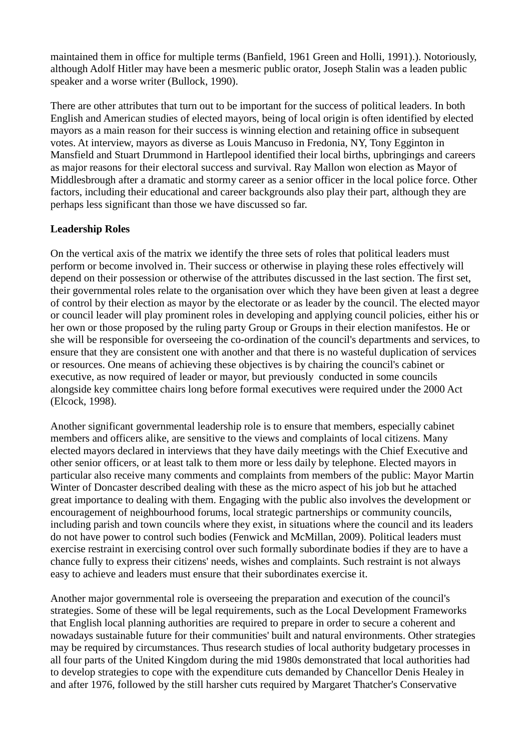maintained them in office for multiple terms (Banfield, 1961 Green and Holli, 1991).). Notoriously, although Adolf Hitler may have been a mesmeric public orator, Joseph Stalin was a leaden public speaker and a worse writer (Bullock, 1990).

There are other attributes that turn out to be important for the success of political leaders. In both English and American studies of elected mayors, being of local origin is often identified by elected mayors as a main reason for their success is winning election and retaining office in subsequent votes. At interview, mayors as diverse as Louis Mancuso in Fredonia, NY, Tony Egginton in Mansfield and Stuart Drummond in Hartlepool identified their local births, upbringings and careers as major reasons for their electoral success and survival. Ray Mallon won election as Mayor of Middlesbrough after a dramatic and stormy career as a senior officer in the local police force. Other factors, including their educational and career backgrounds also play their part, although they are perhaps less significant than those we have discussed so far.

#### **Leadership Roles**

On the vertical axis of the matrix we identify the three sets of roles that political leaders must perform or become involved in. Their success or otherwise in playing these roles effectively will depend on their possession or otherwise of the attributes discussed in the last section. The first set, their governmental roles relate to the organisation over which they have been given at least a degree of control by their election as mayor by the electorate or as leader by the council. The elected mayor or council leader will play prominent roles in developing and applying council policies, either his or her own or those proposed by the ruling party Group or Groups in their election manifestos. He or she will be responsible for overseeing the co-ordination of the council's departments and services, to ensure that they are consistent one with another and that there is no wasteful duplication of services or resources. One means of achieving these objectives is by chairing the council's cabinet or executive, as now required of leader or mayor, but previously conducted in some councils alongside key committee chairs long before formal executives were required under the 2000 Act (Elcock, 1998).

Another significant governmental leadership role is to ensure that members, especially cabinet members and officers alike, are sensitive to the views and complaints of local citizens. Many elected mayors declared in interviews that they have daily meetings with the Chief Executive and other senior officers, or at least talk to them more or less daily by telephone. Elected mayors in particular also receive many comments and complaints from members of the public: Mayor Martin Winter of Doncaster described dealing with these as the micro aspect of his job but he attached great importance to dealing with them. Engaging with the public also involves the development or encouragement of neighbourhood forums, local strategic partnerships or community councils, including parish and town councils where they exist, in situations where the council and its leaders do not have power to control such bodies (Fenwick and McMillan, 2009). Political leaders must exercise restraint in exercising control over such formally subordinate bodies if they are to have a chance fully to express their citizens' needs, wishes and complaints. Such restraint is not always easy to achieve and leaders must ensure that their subordinates exercise it.

Another major governmental role is overseeing the preparation and execution of the council's strategies. Some of these will be legal requirements, such as the Local Development Frameworks that English local planning authorities are required to prepare in order to secure a coherent and nowadays sustainable future for their communities' built and natural environments. Other strategies may be required by circumstances. Thus research studies of local authority budgetary processes in all four parts of the United Kingdom during the mid 1980s demonstrated that local authorities had to develop strategies to cope with the expenditure cuts demanded by Chancellor Denis Healey in and after 1976, followed by the still harsher cuts required by Margaret Thatcher's Conservative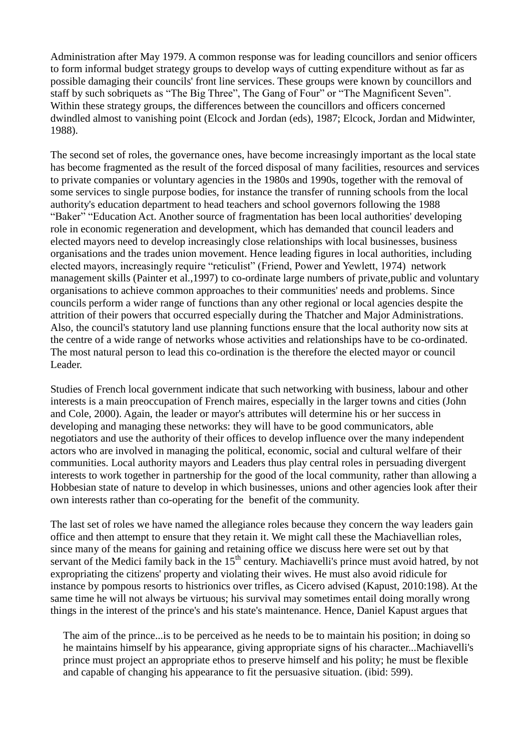Administration after May 1979. A common response was for leading councillors and senior officers to form informal budget strategy groups to develop ways of cutting expenditure without as far as possible damaging their councils' front line services. These groups were known by councillors and staff by such sobriquets as "The Big Three", The Gang of Four" or "The Magnificent Seven". Within these strategy groups, the differences between the councillors and officers concerned dwindled almost to vanishing point (Elcock and Jordan (eds), 1987; Elcock, Jordan and Midwinter, 1988).

The second set of roles, the governance ones, have become increasingly important as the local state has become fragmented as the result of the forced disposal of many facilities, resources and services to private companies or voluntary agencies in the 1980s and 1990s, together with the removal of some services to single purpose bodies, for instance the transfer of running schools from the local authority's education department to head teachers and school governors following the 1988 "Baker" "Education Act. Another source of fragmentation has been local authorities' developing role in economic regeneration and development, which has demanded that council leaders and elected mayors need to develop increasingly close relationships with local businesses, business organisations and the trades union movement. Hence leading figures in local authorities, including elected mayors, increasingly require "reticulist" (Friend, Power and Yewlett, 1974) network management skills (Painter et al.,1997) to co-ordinate large numbers of private,public and voluntary organisations to achieve common approaches to their communities' needs and problems. Since councils perform a wider range of functions than any other regional or local agencies despite the attrition of their powers that occurred especially during the Thatcher and Major Administrations. Also, the council's statutory land use planning functions ensure that the local authority now sits at the centre of a wide range of networks whose activities and relationships have to be co-ordinated. The most natural person to lead this co-ordination is the therefore the elected mayor or council Leader.

Studies of French local government indicate that such networking with business, labour and other interests is a main preoccupation of French maires, especially in the larger towns and cities (John and Cole, 2000). Again, the leader or mayor's attributes will determine his or her success in developing and managing these networks: they will have to be good communicators, able negotiators and use the authority of their offices to develop influence over the many independent actors who are involved in managing the political, economic, social and cultural welfare of their communities. Local authority mayors and Leaders thus play central roles in persuading divergent interests to work together in partnership for the good of the local community, rather than allowing a Hobbesian state of nature to develop in which businesses, unions and other agencies look after their own interests rather than co-operating for the benefit of the community.

The last set of roles we have named the allegiance roles because they concern the way leaders gain office and then attempt to ensure that they retain it. We might call these the Machiavellian roles, since many of the means for gaining and retaining office we discuss here were set out by that servant of the Medici family back in the 15<sup>th</sup> century. Machiavelli's prince must avoid hatred, by not expropriating the citizens' property and violating their wives. He must also avoid ridicule for instance by pompous resorts to histrionics over trifles, as Cicero advised (Kapust, 2010:198). At the same time he will not always be virtuous; his survival may sometimes entail doing morally wrong things in the interest of the prince's and his state's maintenance. Hence, Daniel Kapust argues that

The aim of the prince...is to be perceived as he needs to be to maintain his position; in doing so he maintains himself by his appearance, giving appropriate signs of his character...Machiavelli's prince must project an appropriate ethos to preserve himself and his polity; he must be flexible and capable of changing his appearance to fit the persuasive situation. (ibid: 599).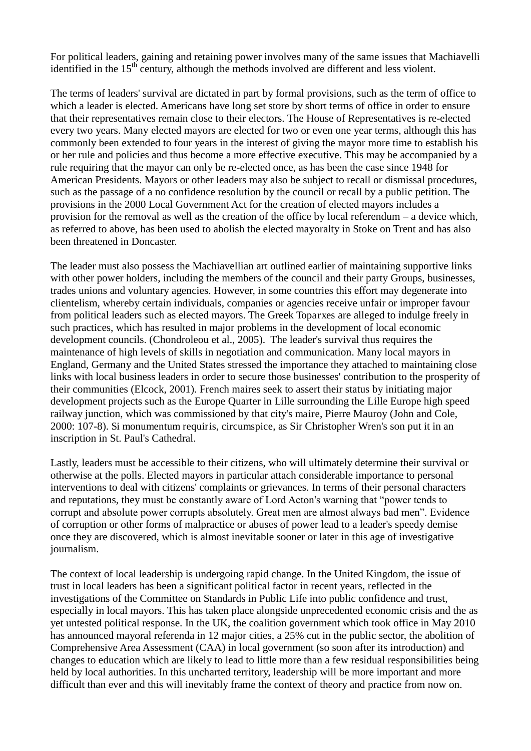For political leaders, gaining and retaining power involves many of the same issues that Machiavelli identified in the 15<sup>th</sup> century, although the methods involved are different and less violent.

The terms of leaders' survival are dictated in part by formal provisions, such as the term of office to which a leader is elected. Americans have long set store by short terms of office in order to ensure that their representatives remain close to their electors. The House of Representatives is re-elected every two years. Many elected mayors are elected for two or even one year terms, although this has commonly been extended to four years in the interest of giving the mayor more time to establish his or her rule and policies and thus become a more effective executive. This may be accompanied by a rule requiring that the mayor can only be re-elected once, as has been the case since 1948 for American Presidents. Mayors or other leaders may also be subject to recall or dismissal procedures, such as the passage of a no confidence resolution by the council or recall by a public petition. The provisions in the 2000 Local Government Act for the creation of elected mayors includes a provision for the removal as well as the creation of the office by local referendum – a device which, as referred to above, has been used to abolish the elected mayoralty in Stoke on Trent and has also been threatened in Doncaster.

The leader must also possess the Machiavellian art outlined earlier of maintaining supportive links with other power holders, including the members of the council and their party Groups, businesses, trades unions and voluntary agencies. However, in some countries this effort may degenerate into clientelism, whereby certain individuals, companies or agencies receive unfair or improper favour from political leaders such as elected mayors. The Greek Toparxes are alleged to indulge freely in such practices, which has resulted in major problems in the development of local economic development councils. (Chondroleou et al., 2005). The leader's survival thus requires the maintenance of high levels of skills in negotiation and communication. Many local mayors in England, Germany and the United States stressed the importance they attached to maintaining close links with local business leaders in order to secure those businesses' contribution to the prosperity of their communities (Elcock, 2001). French maires seek to assert their status by initiating major development projects such as the Europe Quarter in Lille surrounding the Lille Europe high speed railway junction, which was commissioned by that city's maire, Pierre Mauroy (John and Cole, 2000: 107-8). Si monumentum requiris, circumspice, as Sir Christopher Wren's son put it in an inscription in St. Paul's Cathedral.

Lastly, leaders must be accessible to their citizens, who will ultimately determine their survival or otherwise at the polls. Elected mayors in particular attach considerable importance to personal interventions to deal with citizens' complaints or grievances. In terms of their personal characters and reputations, they must be constantly aware of Lord Acton's warning that "power tends to corrupt and absolute power corrupts absolutely. Great men are almost always bad men". Evidence of corruption or other forms of malpractice or abuses of power lead to a leader's speedy demise once they are discovered, which is almost inevitable sooner or later in this age of investigative journalism.

The context of local leadership is undergoing rapid change. In the United Kingdom, the issue of trust in local leaders has been a significant political factor in recent years, reflected in the investigations of the Committee on Standards in Public Life into public confidence and trust, especially in local mayors. This has taken place alongside unprecedented economic crisis and the as yet untested political response. In the UK, the coalition government which took office in May 2010 has announced mayoral referenda in 12 major cities, a 25% cut in the public sector, the abolition of Comprehensive Area Assessment (CAA) in local government (so soon after its introduction) and changes to education which are likely to lead to little more than a few residual responsibilities being held by local authorities. In this uncharted territory, leadership will be more important and more difficult than ever and this will inevitably frame the context of theory and practice from now on.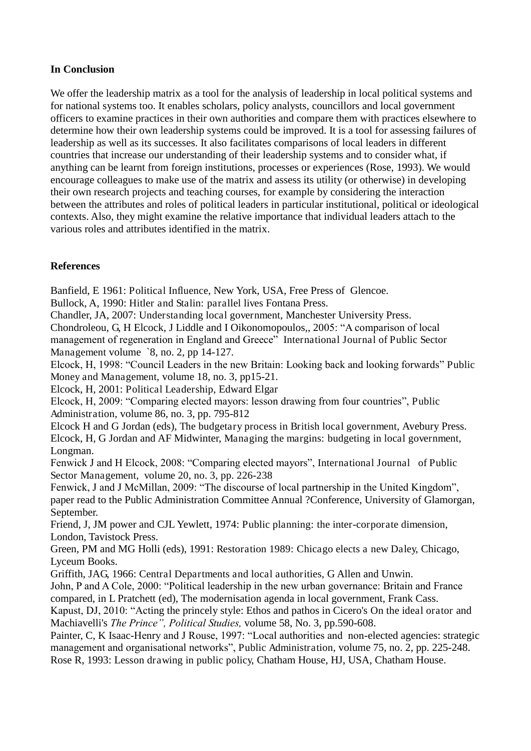#### **In Conclusion**

We offer the leadership matrix as a tool for the analysis of leadership in local political systems and for national systems too. It enables scholars, policy analysts, councillors and local government officers to examine practices in their own authorities and compare them with practices elsewhere to determine how their own leadership systems could be improved. It is a tool for assessing failures of leadership as well as its successes. It also facilitates comparisons of local leaders in different countries that increase our understanding of their leadership systems and to consider what, if anything can be learnt from foreign institutions, processes or experiences (Rose, 1993). We would encourage colleagues to make use of the matrix and assess its utility (or otherwise) in developing their own research projects and teaching courses, for example by considering the interaction between the attributes and roles of political leaders in particular institutional, political or ideological contexts. Also, they might examine the relative importance that individual leaders attach to the various roles and attributes identified in the matrix.

## **References**

Banfield, E 1961: Political Influence, New York, USA, Free Press of Glencoe.

Bullock, A, 1990: Hitler and Stalin: parallel lives Fontana Press.

Chandler, JA, 2007: Understanding local government, Manchester University Press.

Chondroleou, G, H Elcock, J Liddle and I Oikonomopoulos,, 2005: "A comparison of local management of regeneration in England and Greece" International Journal of Public Sector Management volume `8, no. 2, pp 14-127.

Elcock, H, 1998: "Council Leaders in the new Britain: Looking back and looking forwards" Public Money and Management, volume 18, no. 3, pp15-21.

Elcock, H, 2001: Political Leadership, Edward Elgar

Elcock, H, 2009: "Comparing elected mayors: lesson drawing from four countries", Public Administration, volume 86, no. 3, pp. 795-812

Elcock H and G Jordan (eds), The budgetary process in British local government, Avebury Press. Elcock, H, G Jordan and AF Midwinter, Managing the margins: budgeting in local government, Longman.

Fenwick J and H Elcock, 2008: "Comparing elected mayors", International Journal of Public Sector Management, volume 20, no. 3, pp. 226-238

Fenwick, J and J McMillan, 2009: "The discourse of local partnership in the United Kingdom", paper read to the Public Administration Committee Annual ?Conference, University of Glamorgan, September.

Friend, J, JM power and CJL Yewlett, 1974: Public planning: the inter-corporate dimension, London, Tavistock Press.

Green, PM and MG Holli (eds), 1991: Restoration 1989: Chicago elects a new Daley, Chicago, Lyceum Books.

Griffith, JAG, 1966: Central Departments and local authorities, G Allen and Unwin.

John, P and A Cole, 2000: "Political leadership in the new urban governance: Britain and France compared, in L Pratchett (ed), The modernisation agenda in local government, Frank Cass.

Kapust, DJ, 2010: "Acting the princely style: Ethos and pathos in Cicero's On the ideal orator and Machiavelli's *The Prince", Political Studies,* volume 58, No. 3, pp.590-608.

Painter, C, K Isaac-Henry and J Rouse, 1997: "Local authorities and non-elected agencies: strategic management and organisational networks", Public Administration, volume 75, no. 2, pp. 225-248. Rose R, 1993: Lesson drawing in public policy, Chatham House, HJ, USA, Chatham House.